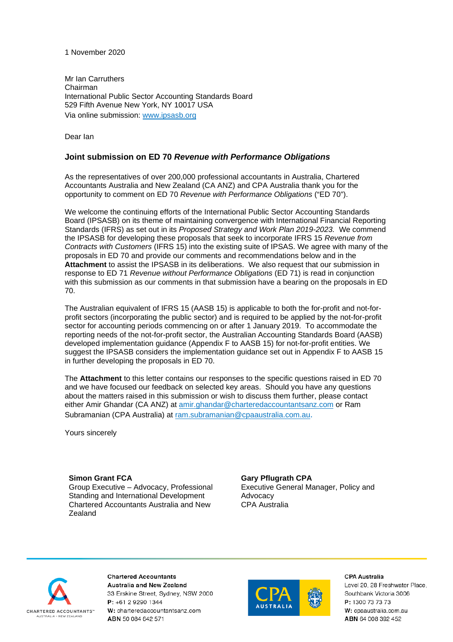### 1 November 2020

Mr Ian Carruthers Chairman International Public Sector Accounting Standards Board 529 Fifth Avenue New York, NY 10017 USA Via online submission: [www.ipsasb.org](http://www.ipsasb.org/)

Dear Ian

# **Joint submission on ED 70** *Revenue with Performance Obligations*

As the representatives of over 200,000 professional accountants in Australia, Chartered Accountants Australia and New Zealand (CA ANZ) and CPA Australia thank you for the opportunity to comment on ED 70 *Revenue with Performance Obligations* ("ED 70").

We welcome the continuing efforts of the International Public Sector Accounting Standards Board (IPSASB) on its theme of maintaining convergence with International Financial Reporting Standards (IFRS) as set out in its *Proposed Strategy and Work Plan 2019-2023.* We commend the IPSASB for developing these proposals that seek to incorporate IFRS 15 *Revenue from Contracts with Customers* (IFRS 15) into the existing suite of IPSAS. We agree with many of the proposals in ED 70 and provide our comments and recommendations below and in the **Attachment** to assist the IPSASB in its deliberations. We also request that our submission in response to ED 71 *Revenue without Performance Obligations* (ED 71) is read in conjunction with this submission as our comments in that submission have a bearing on the proposals in ED 70.

The Australian equivalent of IFRS 15 (AASB 15) is applicable to both the for-profit and not-forprofit sectors (incorporating the public sector) and is required to be applied by the not-for-profit sector for accounting periods commencing on or after 1 January 2019. To accommodate the reporting needs of the not-for-profit sector, the Australian Accounting Standards Board (AASB) developed implementation guidance (Appendix F to AASB 15) for not-for-profit entities. We suggest the IPSASB considers the implementation guidance set out in Appendix F to AASB 15 in further developing the proposals in ED 70.

The **Attachment** to this letter contains our responses to the specific questions raised in ED 70 and we have focused our feedback on selected key areas. Should you have any questions about the matters raised in this submission or wish to discuss them further, please contact either Amir Ghandar (CA ANZ) at [amir.ghandar@charteredaccountantsanz.com](mailto:amir.ghandar@charteredaccountantsanz.com) or Ram Subramanian (CPA Australia) at [ram.subramanian@cpaaustralia.com.au.](mailto:ram.subramanian@cpaaustralia.com.au)

Yours sincerely

### **Simon Grant FCA**

Group Executive – Advocacy, Professional Standing and International Development Chartered Accountants Australia and New Zealand

### **Gary Pflugrath CPA**

Executive General Manager, Policy and Advocacy CPA Australia



**Chartered Accountants** Australia and New Zealand 33 Erskine Street, Sydney, NSW 2000 P: +61 2 9290 1344 W: charteredaccountantsanz.com ABN 50 084 642 571



#### CPA Australia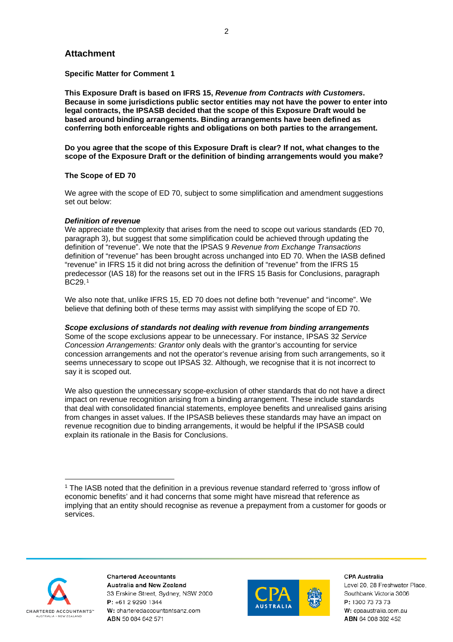# **Attachment**

**Specific Matter for Comment 1**

**This Exposure Draft is based on IFRS 15,** *Revenue from Contracts with Customers***. Because in some jurisdictions public sector entities may not have the power to enter into legal contracts, the IPSASB decided that the scope of this Exposure Draft would be based around binding arrangements. Binding arrangements have been defined as conferring both enforceable rights and obligations on both parties to the arrangement.**

**Do you agree that the scope of this Exposure Draft is clear? If not, what changes to the scope of the Exposure Draft or the definition of binding arrangements would you make?**

### **The Scope of ED 70**

We agree with the scope of ED 70, subject to some simplification and amendment suggestions set out below:

### *Definition of revenue*

We appreciate the complexity that arises from the need to scope out various standards (ED 70, paragraph 3), but suggest that some simplification could be achieved through updating the definition of "revenue". We note that the IPSAS 9 *Revenue from Exchange Transactions*  definition of "revenue" has been brought across unchanged into ED 70. When the IASB defined "revenue" in IFRS 15 it did not bring across the definition of "revenue" from the IFRS 15 predecessor (IAS 18) for the reasons set out in the IFRS 15 Basis for Conclusions, paragraph BC<sub>29.[1](#page-1-0)</sub>

We also note that, unlike IFRS 15, ED 70 does not define both "revenue" and "income". We believe that defining both of these terms may assist with simplifying the scope of ED 70.

### *Scope exclusions of standards not dealing with revenue from binding arrangements*

Some of the scope exclusions appear to be unnecessary. For instance, IPSAS 32 *Service Concession Arrangements: Grantor* only deals with the grantor's accounting for service concession arrangements and not the operator's revenue arising from such arrangements, so it seems unnecessary to scope out IPSAS 32. Although, we recognise that it is not incorrect to say it is scoped out.

We also question the unnecessary scope-exclusion of other standards that do not have a direct impact on revenue recognition arising from a binding arrangement. These include standards that deal with consolidated financial statements, employee benefits and unrealised gains arising from changes in asset values. If the IPSASB believes these standards may have an impact on revenue recognition due to binding arrangements, it would be helpful if the IPSASB could explain its rationale in the Basis for Conclusions.



**Chartered Accountants Australia and New Zealand** 33 Erskine Street, Sydney, NSW 2000 P: +61 2 9290 1344 W: charteredaccountantsanz.com ABN 50 084 642 571



**CPA Australia** 

<span id="page-1-0"></span><sup>1</sup> The IASB noted that the definition in a previous revenue standard referred to 'gross inflow of economic benefits' and it had concerns that some might have misread that reference as implying that an entity should recognise as revenue a prepayment from a customer for goods or services.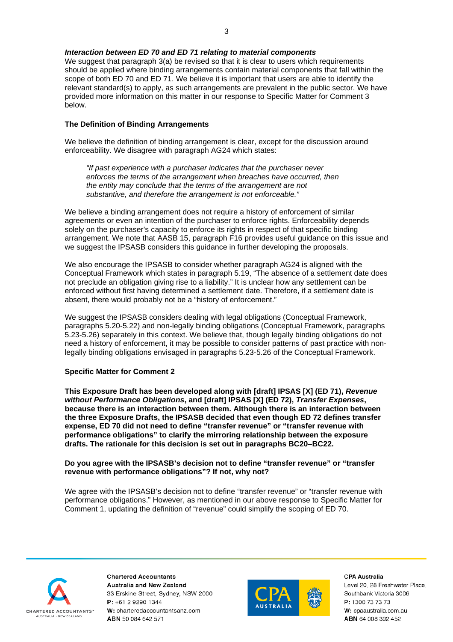#### *Interaction between ED 70 and ED 71 relating to material components*

We suggest that paragraph 3(a) be revised so that it is clear to users which requirements should be applied where binding arrangements contain material components that fall within the scope of both ED 70 and ED 71. We believe it is important that users are able to identify the relevant standard(s) to apply, as such arrangements are prevalent in the public sector. We have provided more information on this matter in our response to Specific Matter for Comment 3 below.

#### **The Definition of Binding Arrangements**

We believe the definition of binding arrangement is clear, except for the discussion around enforceability. We disagree with paragraph AG24 which states:

*"If past experience with a purchaser indicates that the purchaser never enforces the terms of the arrangement when breaches have occurred, then the entity may conclude that the terms of the arrangement are not substantive, and therefore the arrangement is not enforceable."*

We believe a binding arrangement does not require a history of enforcement of similar agreements or even an intention of the purchaser to enforce rights. Enforceability depends solely on the purchaser's capacity to enforce its rights in respect of that specific binding arrangement. We note that AASB 15, paragraph F16 provides useful guidance on this issue and we suggest the IPSASB considers this guidance in further developing the proposals.

We also encourage the IPSASB to consider whether paragraph AG24 is aligned with the Conceptual Framework which states in paragraph 5.19, "The absence of a settlement date does not preclude an obligation giving rise to a liability." It is unclear how any settlement can be enforced without first having determined a settlement date. Therefore, if a settlement date is absent, there would probably not be a "history of enforcement."

We suggest the IPSASB considers dealing with legal obligations (Conceptual Framework, paragraphs 5.20-5.22) and non-legally binding obligations (Conceptual Framework, paragraphs 5.23-5.26) separately in this context. We believe that, though legally binding obligations do not need a history of enforcement, it may be possible to consider patterns of past practice with nonlegally binding obligations envisaged in paragraphs 5.23-5.26 of the Conceptual Framework.

#### **Specific Matter for Comment 2**

**This Exposure Draft has been developed along with [draft] IPSAS [X] (ED 71),** *Revenue without Performance Obligations***, and [draft] IPSAS [X] (ED 72),** *Transfer Expenses***, because there is an interaction between them. Although there is an interaction between the three Exposure Drafts, the IPSASB decided that even though ED 72 defines transfer expense, ED 70 did not need to define "transfer revenue" or "transfer revenue with performance obligations" to clarify the mirroring relationship between the exposure drafts. The rationale for this decision is set out in paragraphs BC20–BC22.** 

**Do you agree with the IPSASB's decision not to define "transfer revenue" or "transfer revenue with performance obligations"? If not, why not?**

We agree with the IPSASB's decision not to define "transfer revenue" or "transfer revenue with performance obligations." However, as mentioned in our above response to Specific Matter for Comment 1, updating the definition of "revenue" could simplify the scoping of ED 70.



**Chartered Accountants Australia and New Zealand** 33 Erskine Street, Sydney, NSW 2000 P: +61 2 9290 1344 W: charteredaccountantsanz.com ABN 50 084 642 571



**CPA Australia**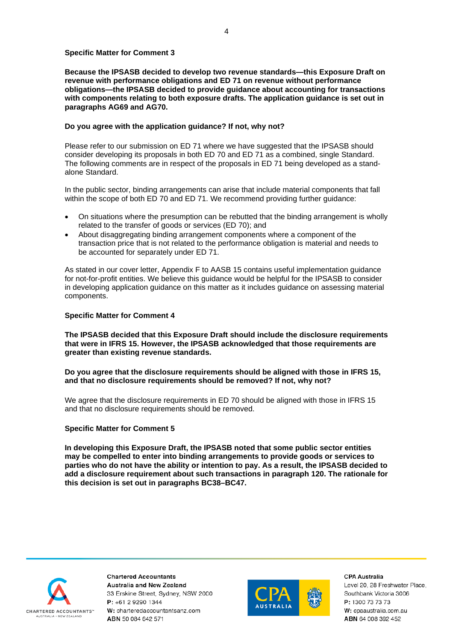#### **Specific Matter for Comment 3**

**Because the IPSASB decided to develop two revenue standards—this Exposure Draft on revenue with performance obligations and ED 71 on revenue without performance obligations—the IPSASB decided to provide guidance about accounting for transactions with components relating to both exposure drafts. The application guidance is set out in paragraphs AG69 and AG70.**

### **Do you agree with the application guidance? If not, why not?**

Please refer to our submission on ED 71 where we have suggested that the IPSASB should consider developing its proposals in both ED 70 and ED 71 as a combined, single Standard. The following comments are in respect of the proposals in ED 71 being developed as a standalone Standard.

In the public sector, binding arrangements can arise that include material components that fall within the scope of both ED 70 and ED 71. We recommend providing further guidance:

- On situations where the presumption can be rebutted that the binding arrangement is wholly related to the transfer of goods or services (ED 70); and
- About disaggregating binding arrangement components where a component of the transaction price that is not related to the performance obligation is material and needs to be accounted for separately under ED 71.

As stated in our cover letter, Appendix F to AASB 15 contains useful implementation guidance for not-for-profit entities. We believe this guidance would be helpful for the IPSASB to consider in developing application guidance on this matter as it includes guidance on assessing material components.

### **Specific Matter for Comment 4**

**The IPSASB decided that this Exposure Draft should include the disclosure requirements that were in IFRS 15. However, the IPSASB acknowledged that those requirements are greater than existing revenue standards.**

**Do you agree that the disclosure requirements should be aligned with those in IFRS 15, and that no disclosure requirements should be removed? If not, why not?**

We agree that the disclosure requirements in ED 70 should be aligned with those in IFRS 15 and that no disclosure requirements should be removed.

### **Specific Matter for Comment 5**

**In developing this Exposure Draft, the IPSASB noted that some public sector entities may be compelled to enter into binding arrangements to provide goods or services to parties who do not have the ability or intention to pay. As a result, the IPSASB decided to add a disclosure requirement about such transactions in paragraph 120. The rationale for this decision is set out in paragraphs BC38–BC47.**



**Chartered Accountants Australia and New Zealand** 33 Erskine Street, Sydney, NSW 2000 P: +61 2 9290 1344 W: charteredaccountantsanz.com ABN 50 084 642 571



**CPA Australia**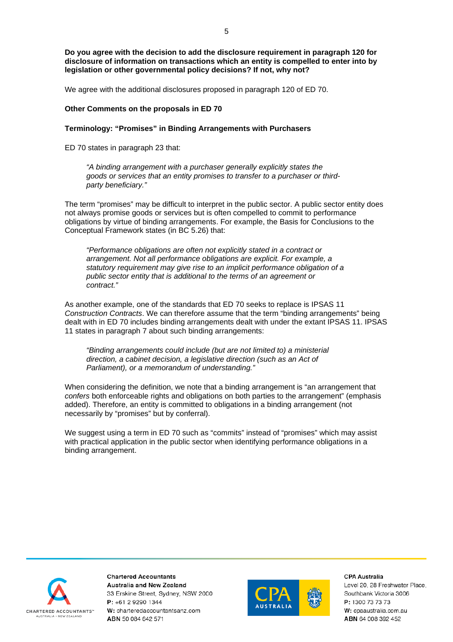**Do you agree with the decision to add the disclosure requirement in paragraph 120 for disclosure of information on transactions which an entity is compelled to enter into by legislation or other governmental policy decisions? If not, why not?**

We agree with the additional disclosures proposed in paragraph 120 of ED 70.

#### **Other Comments on the proposals in ED 70**

### **Terminology: "Promises" in Binding Arrangements with Purchasers**

ED 70 states in paragraph 23 that:

*"A binding arrangement with a purchaser generally explicitly states the goods or services that an entity promises to transfer to a purchaser or thirdparty beneficiary."*

The term "promises" may be difficult to interpret in the public sector. A public sector entity does not always promise goods or services but is often compelled to commit to performance obligations by virtue of binding arrangements. For example, the Basis for Conclusions to the Conceptual Framework states (in BC 5.26) that:

*"Performance obligations are often not explicitly stated in a contract or arrangement. Not all performance obligations are explicit. For example, a statutory requirement may give rise to an implicit performance obligation of a public sector entity that is additional to the terms of an agreement or contract."*

As another example, one of the standards that ED 70 seeks to replace is IPSAS 11 *Construction Contracts*. We can therefore assume that the term "binding arrangements" being dealt with in ED 70 includes binding arrangements dealt with under the extant IPSAS 11. IPSAS 11 states in paragraph 7 about such binding arrangements:

*"Binding arrangements could include (but are not limited to) a ministerial direction, a cabinet decision, a legislative direction (such as an Act of Parliament), or a memorandum of understanding."*

When considering the definition, we note that a binding arrangement is "an arrangement that *confers* both enforceable rights and obligations on both parties to the arrangement" (emphasis added). Therefore, an entity is committed to obligations in a binding arrangement (not necessarily by "promises" but by conferral).

We suggest using a term in ED 70 such as "commits" instead of "promises" which may assist with practical application in the public sector when identifying performance obligations in a binding arrangement.



**Chartered Accountants Australia and New Zealand** 33 Erskine Street, Sydney, NSW 2000 P: +61 2 9290 1344 W: charteredaccountantsanz.com ABN 50 084 642 571



**CPA Australia**